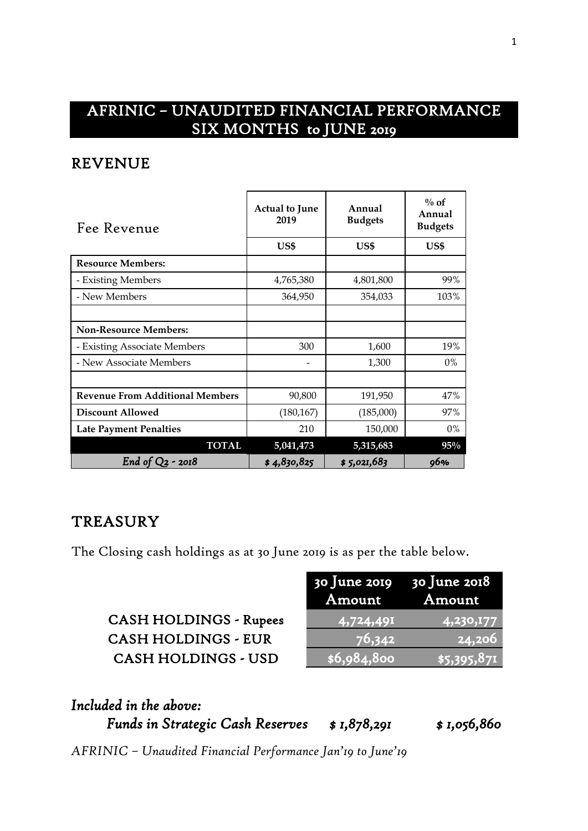# AFRINIC – UNAUDITED FINANCIAL PERFORMANCE SIX MONTHS to JUNE 2019

### REVENUE

| Fee Revenue                            | <b>Actual to June</b><br>2019 | Annual<br><b>Budgets</b> | $\%$ of<br>Annual<br><b>Budgets</b> |
|----------------------------------------|-------------------------------|--------------------------|-------------------------------------|
|                                        | US\$                          | US\$                     | US\$                                |
| <b>Resource Members:</b>               |                               |                          |                                     |
| - Existing Members                     | 4,765,380                     | 4,801,800                | 99%                                 |
| - New Members                          | 364,950                       | 354,033                  | 103%                                |
|                                        |                               |                          |                                     |
| <b>Non-Resource Members:</b>           |                               |                          |                                     |
| - Existing Associate Members           | 300                           | 1,600                    | 19%                                 |
| - New Associate Members                |                               | 1,300                    | $0\%$                               |
|                                        |                               |                          |                                     |
| <b>Revenue From Additional Members</b> | 90,800                        | 191,950                  | 47%                                 |
| <b>Discount Allowed</b>                | (180, 167)                    | (185,000)                | 97%                                 |
| <b>Late Payment Penalties</b>          | 210                           | 150,000                  | 0%                                  |
| <b>TOTAL</b>                           | 5,041,473                     | 5,315,683                | 95%                                 |
| End of $Q_2$ - 2018                    | \$4,830,825                   | \$5,021,683              | 96%                                 |

#### **TREASURY**

The Closing cash holdings as at 30 June 2019 is as per the table below.

|                               | Amount      | Amount             |
|-------------------------------|-------------|--------------------|
| <b>CASH HOLDINGS - Rupees</b> | 4,724,491   | 4,230,177          |
| <b>CASH HOLDINGS - EUR</b>    | 76,342      | 124,206            |
| <b>CASH HOLDINGS - USD</b>    | \$6,984,800 | $\sqrt{5,395,871}$ |

30 June 2019

30 June 2018

| Included in the above:                  |              |              |
|-----------------------------------------|--------------|--------------|
| <b>Funds in Strategic Cash Reserves</b> | \$ 1,878,291 | \$ 1,056,860 |

*AFRINIC – Unaudited Financial Performance Jan'19 to June'19*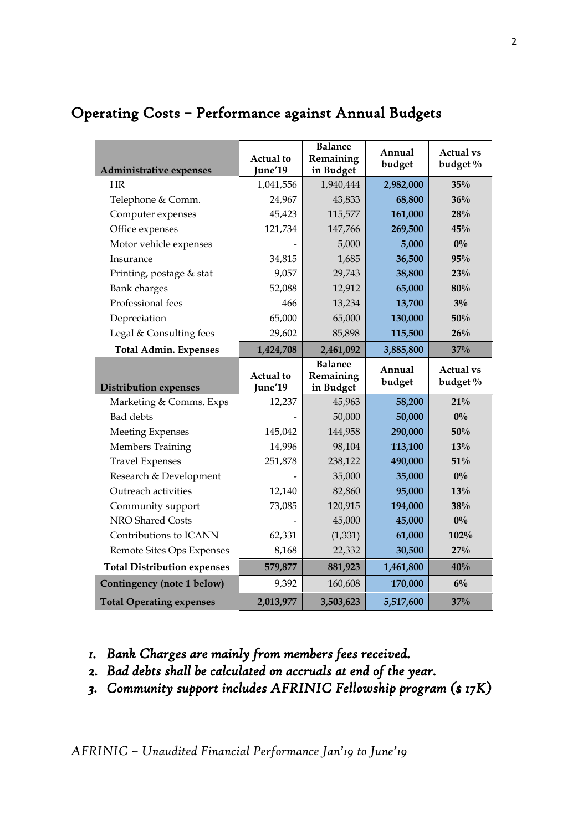| Administrative expenses            | <b>Actual</b> to<br>June'19 | <b>Balance</b><br>Remaining<br>in Budget | Annual<br>budget | <b>Actual vs</b><br>budget % |
|------------------------------------|-----------------------------|------------------------------------------|------------------|------------------------------|
| <b>HR</b>                          | 1,041,556                   | 1,940,444                                | 2,982,000        | 35%                          |
| Telephone & Comm.                  | 24,967                      | 43,833                                   | 68,800           | 36%                          |
| Computer expenses                  | 45,423                      | 115,577                                  | 161,000          | 28%                          |
| Office expenses                    | 121,734                     | 147,766                                  | 269,500          | 45%                          |
| Motor vehicle expenses             |                             | 5,000                                    | 5,000            | $0\%$                        |
| Insurance                          | 34,815                      | 1,685                                    | 36,500           | 95%                          |
| Printing, postage & stat           | 9,057                       | 29,743                                   | 38,800           | 23%                          |
| <b>Bank</b> charges                | 52,088                      | 12,912                                   | 65,000           | 80%                          |
| Professional fees                  | 466                         | 13,234                                   | 13,700           | $3\%$                        |
| Depreciation                       | 65,000                      | 65,000                                   | 130,000          | 50%                          |
| Legal & Consulting fees            | 29,602                      | 85,898                                   | 115,500          | 26%                          |
| <b>Total Admin. Expenses</b>       | 1,424,708                   | 2,461,092                                | 3,885,800        | 37%                          |
|                                    | <b>Actual</b> to            | <b>Balance</b><br>Remaining              | Annual           | <b>Actual vs</b>             |
| <b>Distribution expenses</b>       | June'19                     | in Budget                                | budget           | budget %                     |
| Marketing & Comms. Exps            | 12,237                      | 45,963                                   | 58,200           | 21%                          |
| <b>Bad debts</b>                   |                             | 50,000                                   | 50,000           | $0\%$                        |
| <b>Meeting Expenses</b>            | 145,042                     | 144,958                                  | 290,000          | 50%                          |
| <b>Members Training</b>            | 14,996                      | 98,104                                   | 113,100          | 13%                          |
| <b>Travel Expenses</b>             | 251,878                     | 238,122                                  | 490,000          | 51%                          |
| Research & Development             |                             | 35,000                                   | 35,000           | $0\%$                        |
| Outreach activities                | 12,140                      | 82,860                                   | 95,000           | 13%                          |
| Community support                  | 73,085                      | 120,915                                  | 194,000          | 38%                          |
| NRO Shared Costs                   |                             | 45,000                                   | 45,000           | $0\%$                        |
| Contributions to ICANN             | 62,331                      | (1, 331)                                 | 61,000           | 102%                         |
| Remote Sites Ops Expenses          | 8,168                       | 22,332                                   | 30,500           | 27%                          |
| <b>Total Distribution expenses</b> | 579,877                     | 881,923                                  | 1,461,800        | 40%                          |
| Contingency (note 1 below)         | 9,392                       | 160,608                                  | 170,000          | $6\%$                        |

### Operating Costs – Performance against Annual Budgets

- *1. Bank Charges are mainly from members fees received.*
- *2. Bad debts shall be calculated on accruals at end of the year.*
- *3. Community support includes AFRINIC Fellowship program (\$ 17K)*

*AFRINIC – Unaudited Financial Performance Jan'19 to June'19*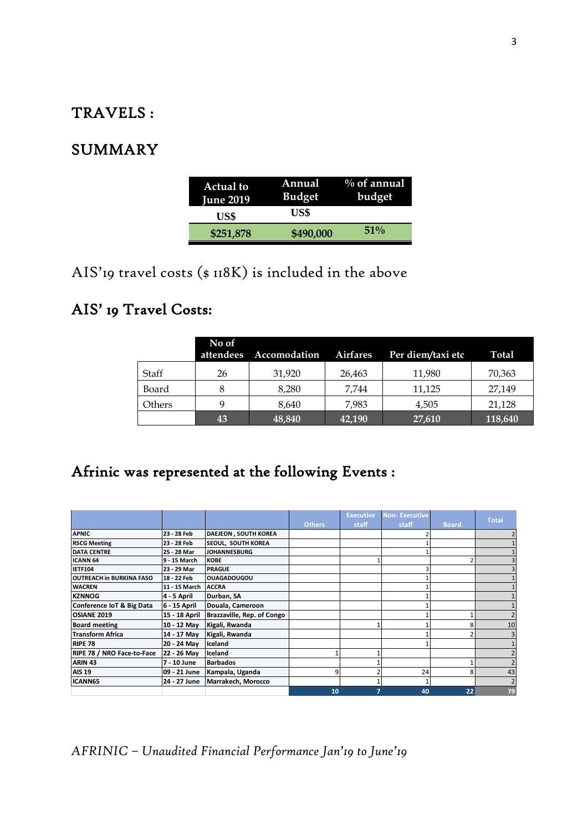#### TRAVELS :

### SUMMARY

| <b>Actual to</b><br><b>June 2019</b> | Annual<br><b>Budget</b> | $\%$ of annual<br>budget |
|--------------------------------------|-------------------------|--------------------------|
| US\$                                 | US\$                    |                          |
| \$251,878                            | \$490,000               | $51\%$                   |

AIS'19 travel costs (\$ 118K) is included in the above

## AIS' 19 Travel Costs:

|        | No of<br>attendees | Accomodation | <b>Airfares</b> | Per diem/taxi etc | <b>Total</b> |
|--------|--------------------|--------------|-----------------|-------------------|--------------|
| Staff  | 26                 | 31,920       | 26,463          | 11,980            | 70,363       |
| Board  |                    | 8.280        | 7.744           | 11,125            | 27,149       |
| Others |                    | 8.640        | 7.983           | 4,505             | 21,128       |
|        | 43                 | 48,840       | 42,190          | 27,610            | 118,640      |

# Afrinic was represented at the following Events :

|                                   |               |                             | <b>Others</b> | <b>Executive</b><br>staff | <b>Non-Executive</b><br>staff | <b>Board</b> | <b>Total</b> |
|-----------------------------------|---------------|-----------------------------|---------------|---------------------------|-------------------------------|--------------|--------------|
| <b>APNIC</b>                      | 23 - 28 Feb   | <b>DAEJEON, SOUTH KOREA</b> |               |                           |                               |              |              |
| <b>RSCG Meeting</b>               | 23 - 28 Feb   | <b>SEOUL, SOUTH KOREA</b>   |               |                           |                               |              |              |
| <b>DATA CENTRE</b>                | 25 - 28 Mar   | <b>JOHANNESBURG</b>         |               |                           |                               |              |              |
| <b>ICANN 64</b>                   | 9 - 15 March  | <b>KOBE</b>                 |               |                           |                               |              |              |
| <b>IETF104</b>                    | 23 - 29 Mar   | <b>PRAGUE</b>               |               |                           |                               |              |              |
| <b>OUTREACH in BURKINA FASO</b>   | 18 - 22 Feb   | <b>OUAGADOUGOU</b>          |               |                           |                               |              |              |
| <b>WACREN</b>                     | 11 - 15 March | <b>ACCRA</b>                |               |                           |                               |              |              |
| <b>KZNNOG</b>                     | 4 - 5 April   | Durban, SA                  |               |                           |                               |              |              |
| Conference IoT & Big Data         | 6 - 15 April  | Douala, Cameroon            |               |                           |                               |              |              |
| <b>OSIANE 2019</b>                | 15 - 18 April | Brazzaville, Rep. of Congo  |               |                           |                               |              |              |
| <b>Board meeting</b>              | 10 - 12 May   | Kigali, Rwanda              |               |                           |                               |              | 10           |
| <b>Transform Africa</b>           | 14 - 17 May   | Kigali, Rwanda              |               |                           |                               |              |              |
| <b>RIPE 78</b>                    | 20 - 24 May   | lceland                     |               |                           |                               |              |              |
| <b>RIPE 78 / NRO Face-to-Face</b> | 22 - 26 May   | Iceland                     | 1             |                           |                               |              |              |
| ARIN <sub>43</sub>                | 7 - 10 June   | <b>Barbados</b>             |               |                           |                               |              |              |
| <b>AIS 19</b>                     | 09 - 21 June  | Kampala, Uganda             | 9             |                           | 24                            |              | 43           |
| ICANN65                           | 24 - 27 June  | Marrakech, Morocco          |               |                           |                               |              |              |
|                                   |               |                             | 10            | 7                         | 40                            | 22           | 79           |

*AFRINIC – Unaudited Financial Performance Jan'19 to June'19*